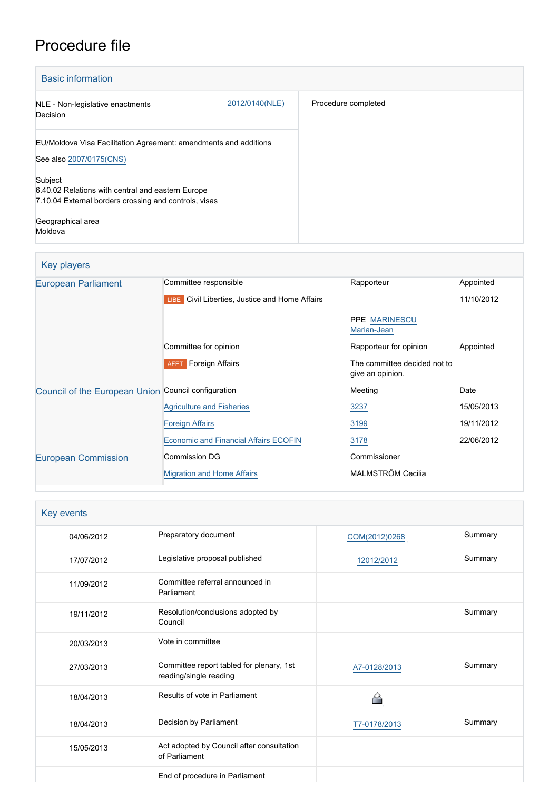# Procedure file

| <b>Basic information</b>                                                                                              |                |                     |
|-----------------------------------------------------------------------------------------------------------------------|----------------|---------------------|
| NLE - Non-legislative enactments<br>Decision                                                                          | 2012/0140(NLE) | Procedure completed |
| EU/Moldova Visa Facilitation Agreement: amendments and additions<br>See also 2007/0175(CNS)                           |                |                     |
| Subject<br>6.40.02 Relations with central and eastern Europe<br>7.10.04 External borders crossing and controls, visas |                |                     |
| Geographical area<br>Moldova                                                                                          |                |                     |

| Key players                                         |                                                       |                                                  |            |
|-----------------------------------------------------|-------------------------------------------------------|--------------------------------------------------|------------|
| <b>European Parliament</b>                          | Committee responsible                                 | Rapporteur                                       | Appointed  |
|                                                     | <b>LIBE</b> Civil Liberties, Justice and Home Affairs |                                                  | 11/10/2012 |
|                                                     |                                                       | <b>PPE MARINESCU</b><br>Marian-Jean              |            |
|                                                     | Committee for opinion                                 | Rapporteur for opinion                           | Appointed  |
|                                                     | <b>AFET</b> Foreign Affairs                           | The committee decided not to<br>give an opinion. |            |
| Council of the European Union Council configuration |                                                       | Meeting                                          | Date       |
|                                                     | <b>Agriculture and Fisheries</b>                      | 3237                                             | 15/05/2013 |
|                                                     | <b>Foreign Affairs</b>                                | 3199                                             | 19/11/2012 |
|                                                     | <b>Economic and Financial Affairs ECOFIN</b>          | 3178                                             | 22/06/2012 |
| <b>European Commission</b>                          | <b>Commission DG</b>                                  | Commissioner                                     |            |
|                                                     | <b>Migration and Home Affairs</b>                     | MALMSTRÖM Cecilia                                |            |

| Key events |                                                                    |               |         |
|------------|--------------------------------------------------------------------|---------------|---------|
| 04/06/2012 | Preparatory document                                               | COM(2012)0268 | Summary |
| 17/07/2012 | Legislative proposal published                                     | 12012/2012    | Summary |
| 11/09/2012 | Committee referral announced in<br>Parliament                      |               |         |
| 19/11/2012 | Resolution/conclusions adopted by<br>Council                       |               | Summary |
| 20/03/2013 | Vote in committee                                                  |               |         |
| 27/03/2013 | Committee report tabled for plenary, 1st<br>reading/single reading | A7-0128/2013  | Summary |
| 18/04/2013 | Results of vote in Parliament                                      |               |         |
| 18/04/2013 | Decision by Parliament                                             | T7-0178/2013  | Summary |
| 15/05/2013 | Act adopted by Council after consultation<br>of Parliament         |               |         |
|            | End of procedure in Parliament                                     |               |         |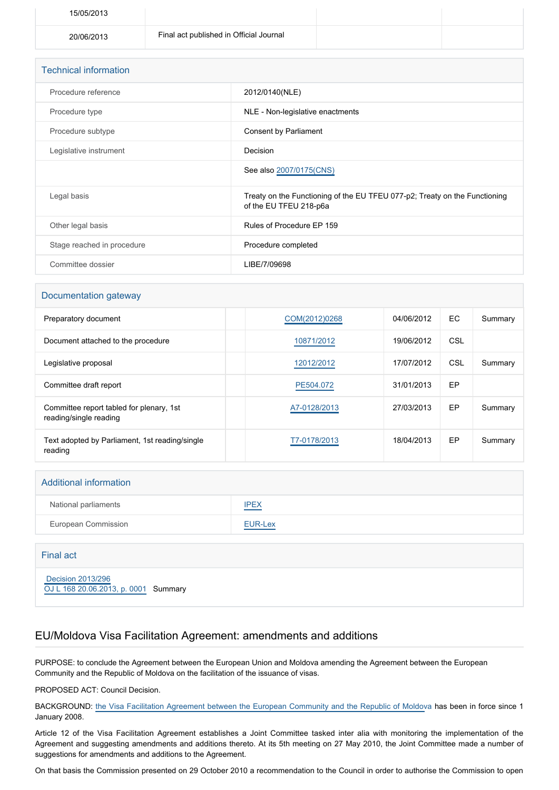| 15/05/2013 |                                         |  |
|------------|-----------------------------------------|--|
| 20/06/2013 | Final act published in Official Journal |  |

| <b>Technical information</b> |                                                                                                      |
|------------------------------|------------------------------------------------------------------------------------------------------|
| Procedure reference          | 2012/0140(NLE)                                                                                       |
| Procedure type               | NLE - Non-legislative enactments                                                                     |
| Procedure subtype            | Consent by Parliament                                                                                |
| Legislative instrument       | Decision                                                                                             |
|                              | See also 2007/0175(CNS)                                                                              |
| Legal basis                  | Treaty on the Functioning of the EU TFEU 077-p2; Treaty on the Functioning<br>of the EU TFEU 218-p6a |
| Other legal basis            | Rules of Procedure EP 159                                                                            |
| Stage reached in procedure   | Procedure completed                                                                                  |
| Committee dossier            | LIBE/7/09698                                                                                         |

#### Documentation gateway

| Preparatory document                                               | COM(2012)0268 | 04/06/2012 | EC. | Summary |
|--------------------------------------------------------------------|---------------|------------|-----|---------|
| Document attached to the procedure                                 | 10871/2012    | 19/06/2012 | CSL |         |
| Legislative proposal                                               | 12012/2012    | 17/07/2012 | CSL | Summary |
| Committee draft report                                             | PE504.072     | 31/01/2013 | EP  |         |
| Committee report tabled for plenary, 1st<br>reading/single reading | A7-0128/2013  | 27/03/2013 | EP  | Summary |
| Text adopted by Parliament, 1st reading/single<br>reading          | T7-0178/2013  | 18/04/2013 | EP  | Summary |

### Additional information

| National parliaments | <b>IPEX</b> |
|----------------------|-------------|
| European Commission  | EUR-Lex     |

#### Final act

 [Decision 2013/296](https://eur-lex.europa.eu/smartapi/cgi/sga_doc?smartapi!celexplus!prod!CELEXnumdoc&lg=EN&numdoc=32013D0296) [OJ L 168 20.06.2013, p. 0001](https://eur-lex.europa.eu/legal-content/EN/TXT/?uri=OJ:L:2013:168:TOC) Summary

## EU/Moldova Visa Facilitation Agreement: amendments and additions

PURPOSE: to conclude the Agreement between the European Union and Moldova amending the Agreement between the European Community and the Republic of Moldova on the facilitation of the issuance of visas.

PROPOSED ACT: Council Decision.

BACKGROUND: [the Visa Facilitation Agreement between the European Community and the Republic of Moldov](http://www.europarl.europa.eu/oeil/popups/ficheprocedure.do?lang=EN&procnum=CNS/2007/0175)a has been in force since 1 January 2008.

Article 12 of the Visa Facilitation Agreement establishes a Joint Committee tasked inter alia with monitoring the implementation of the Agreement and suggesting amendments and additions thereto. At its 5th meeting on 27 May 2010, the Joint Committee made a number of suggestions for amendments and additions to the Agreement.

On that basis the Commission presented on 29 October 2010 a recommendation to the Council in order to authorise the Commission to open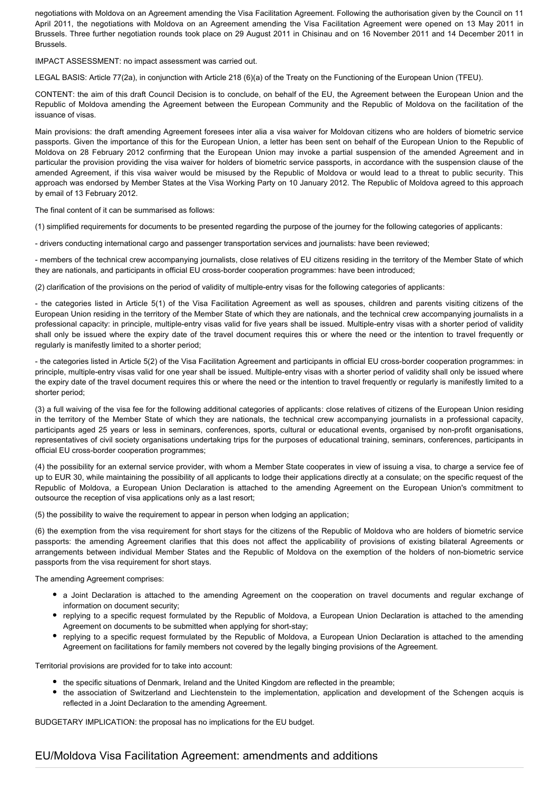negotiations with Moldova on an Agreement amending the Visa Facilitation Agreement. Following the authorisation given by the Council on 11 April 2011, the negotiations with Moldova on an Agreement amending the Visa Facilitation Agreement were opened on 13 May 2011 in Brussels. Three further negotiation rounds took place on 29 August 2011 in Chisinau and on 16 November 2011 and 14 December 2011 in Brussels.

IMPACT ASSESSMENT: no impact assessment was carried out.

LEGAL BASIS: Article 77(2a), in conjunction with Article 218 (6)(a) of the Treaty on the Functioning of the European Union (TFEU).

CONTENT: the aim of this draft Council Decision is to conclude, on behalf of the EU, the Agreement between the European Union and the Republic of Moldova amending the Agreement between the European Community and the Republic of Moldova on the facilitation of the issuance of visas.

Main provisions: the draft amending Agreement foresees inter alia a visa waiver for Moldovan citizens who are holders of biometric service passports. Given the importance of this for the European Union, a letter has been sent on behalf of the European Union to the Republic of Moldova on 28 February 2012 confirming that the European Union may invoke a partial suspension of the amended Agreement and in particular the provision providing the visa waiver for holders of biometric service passports, in accordance with the suspension clause of the amended Agreement, if this visa waiver would be misused by the Republic of Moldova or would lead to a threat to public security. This approach was endorsed by Member States at the Visa Working Party on 10 January 2012. The Republic of Moldova agreed to this approach by email of 13 February 2012.

The final content of it can be summarised as follows:

(1) simplified requirements for documents to be presented regarding the purpose of the journey for the following categories of applicants:

- drivers conducting international cargo and passenger transportation services and journalists: have been reviewed;

- members of the technical crew accompanying journalists, close relatives of EU citizens residing in the territory of the Member State of which they are nationals, and participants in official EU cross-border cooperation programmes: have been introduced;

(2) clarification of the provisions on the period of validity of multiple-entry visas for the following categories of applicants:

- the categories listed in Article 5(1) of the Visa Facilitation Agreement as well as spouses, children and parents visiting citizens of the European Union residing in the territory of the Member State of which they are nationals, and the technical crew accompanying journalists in a professional capacity: in principle, multiple-entry visas valid for five years shall be issued. Multiple-entry visas with a shorter period of validity shall only be issued where the expiry date of the travel document requires this or where the need or the intention to travel frequently or regularly is manifestly limited to a shorter period;

- the categories listed in Article 5(2) of the Visa Facilitation Agreement and participants in official EU cross-border cooperation programmes: in principle, multiple-entry visas valid for one year shall be issued. Multiple-entry visas with a shorter period of validity shall only be issued where the expiry date of the travel document requires this or where the need or the intention to travel frequently or regularly is manifestly limited to a shorter period;

(3) a full waiving of the visa fee for the following additional categories of applicants: close relatives of citizens of the European Union residing in the territory of the Member State of which they are nationals, the technical crew accompanying journalists in a professional capacity, participants aged 25 years or less in seminars, conferences, sports, cultural or educational events, organised by non-profit organisations, representatives of civil society organisations undertaking trips for the purposes of educational training, seminars, conferences, participants in official EU cross-border cooperation programmes;

(4) the possibility for an external service provider, with whom a Member State cooperates in view of issuing a visa, to charge a service fee of up to EUR 30, while maintaining the possibility of all applicants to lodge their applications directly at a consulate; on the specific request of the Republic of Moldova, a European Union Declaration is attached to the amending Agreement on the European Union's commitment to outsource the reception of visa applications only as a last resort;

(5) the possibility to waive the requirement to appear in person when lodging an application;

(6) the exemption from the visa requirement for short stays for the citizens of the Republic of Moldova who are holders of biometric service passports: the amending Agreement clarifies that this does not affect the applicability of provisions of existing bilateral Agreements or arrangements between individual Member States and the Republic of Moldova on the exemption of the holders of non-biometric service passports from the visa requirement for short stays.

The amending Agreement comprises:

- a Joint Declaration is attached to the amending Agreement on the cooperation on travel documents and regular exchange of information on document security;
- replying to a specific request formulated by the Republic of Moldova, a European Union Declaration is attached to the amending Agreement on documents to be submitted when applying for short-stay;
- replying to a specific request formulated by the Republic of Moldova, a European Union Declaration is attached to the amending Agreement on facilitations for family members not covered by the legally binging provisions of the Agreement.

Territorial provisions are provided for to take into account:

- the specific situations of Denmark, Ireland and the United Kingdom are reflected in the preamble;
- the association of Switzerland and Liechtenstein to the implementation, application and development of the Schengen acquis is reflected in a Joint Declaration to the amending Agreement.

BUDGETARY IMPLICATION: the proposal has no implications for the EU budget.

## EU/Moldova Visa Facilitation Agreement: amendments and additions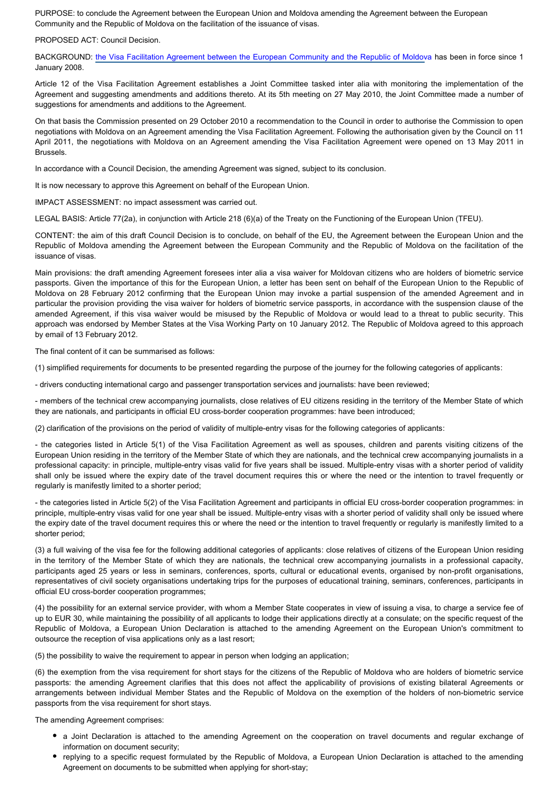PURPOSE: to conclude the Agreement between the European Union and Moldova amending the Agreement between the European Community and the Republic of Moldova on the facilitation of the issuance of visas.

#### PROPOSED ACT: Council Decision.

BACKGROUND: [the Visa Facilitation Agreement between the European Community and the Republic of Moldov](http://www.europarl.europa.eu/oeil/popups/ficheprocedure.do?lang=EN&procnum=CNS/2007/0175)a has been in force since 1 January 2008.

Article 12 of the Visa Facilitation Agreement establishes a Joint Committee tasked inter alia with monitoring the implementation of the Agreement and suggesting amendments and additions thereto. At its 5th meeting on 27 May 2010, the Joint Committee made a number of suggestions for amendments and additions to the Agreement.

On that basis the Commission presented on 29 October 2010 a recommendation to the Council in order to authorise the Commission to open negotiations with Moldova on an Agreement amending the Visa Facilitation Agreement. Following the authorisation given by the Council on 11 April 2011, the negotiations with Moldova on an Agreement amending the Visa Facilitation Agreement were opened on 13 May 2011 in Brussels.

In accordance with a Council Decision, the amending Agreement was signed, subject to its conclusion.

It is now necessary to approve this Agreement on behalf of the European Union.

IMPACT ASSESSMENT: no impact assessment was carried out.

LEGAL BASIS: Article 77(2a), in conjunction with Article 218 (6)(a) of the Treaty on the Functioning of the European Union (TFEU).

CONTENT: the aim of this draft Council Decision is to conclude, on behalf of the EU, the Agreement between the European Union and the Republic of Moldova amending the Agreement between the European Community and the Republic of Moldova on the facilitation of the issuance of visas.

Main provisions: the draft amending Agreement foresees inter alia a visa waiver for Moldovan citizens who are holders of biometric service passports. Given the importance of this for the European Union, a letter has been sent on behalf of the European Union to the Republic of Moldova on 28 February 2012 confirming that the European Union may invoke a partial suspension of the amended Agreement and in particular the provision providing the visa waiver for holders of biometric service passports, in accordance with the suspension clause of the amended Agreement, if this visa waiver would be misused by the Republic of Moldova or would lead to a threat to public security. This approach was endorsed by Member States at the Visa Working Party on 10 January 2012. The Republic of Moldova agreed to this approach by email of 13 February 2012.

The final content of it can be summarised as follows:

(1) simplified requirements for documents to be presented regarding the purpose of the journey for the following categories of applicants:

- drivers conducting international cargo and passenger transportation services and journalists: have been reviewed;

- members of the technical crew accompanying journalists, close relatives of EU citizens residing in the territory of the Member State of which they are nationals, and participants in official EU cross-border cooperation programmes: have been introduced;

(2) clarification of the provisions on the period of validity of multiple-entry visas for the following categories of applicants:

- the categories listed in Article 5(1) of the Visa Facilitation Agreement as well as spouses, children and parents visiting citizens of the European Union residing in the territory of the Member State of which they are nationals, and the technical crew accompanying journalists in a professional capacity: in principle, multiple-entry visas valid for five years shall be issued. Multiple-entry visas with a shorter period of validity shall only be issued where the expiry date of the travel document requires this or where the need or the intention to travel frequently or regularly is manifestly limited to a shorter period;

- the categories listed in Article 5(2) of the Visa Facilitation Agreement and participants in official EU cross-border cooperation programmes: in principle, multiple-entry visas valid for one year shall be issued. Multiple-entry visas with a shorter period of validity shall only be issued where the expiry date of the travel document requires this or where the need or the intention to travel frequently or regularly is manifestly limited to a shorter period;

(3) a full waiving of the visa fee for the following additional categories of applicants: close relatives of citizens of the European Union residing in the territory of the Member State of which they are nationals, the technical crew accompanying journalists in a professional capacity, participants aged 25 years or less in seminars, conferences, sports, cultural or educational events, organised by non-profit organisations, representatives of civil society organisations undertaking trips for the purposes of educational training, seminars, conferences, participants in official EU cross-border cooperation programmes;

(4) the possibility for an external service provider, with whom a Member State cooperates in view of issuing a visa, to charge a service fee of up to EUR 30, while maintaining the possibility of all applicants to lodge their applications directly at a consulate; on the specific request of the Republic of Moldova, a European Union Declaration is attached to the amending Agreement on the European Union's commitment to outsource the reception of visa applications only as a last resort;

(5) the possibility to waive the requirement to appear in person when lodging an application;

(6) the exemption from the visa requirement for short stays for the citizens of the Republic of Moldova who are holders of biometric service passports: the amending Agreement clarifies that this does not affect the applicability of provisions of existing bilateral Agreements or arrangements between individual Member States and the Republic of Moldova on the exemption of the holders of non-biometric service passports from the visa requirement for short stays.

The amending Agreement comprises:

- a Joint Declaration is attached to the amending Agreement on the cooperation on travel documents and regular exchange of information on document security;
- replying to a specific request formulated by the Republic of Moldova, a European Union Declaration is attached to the amending Agreement on documents to be submitted when applying for short-stay;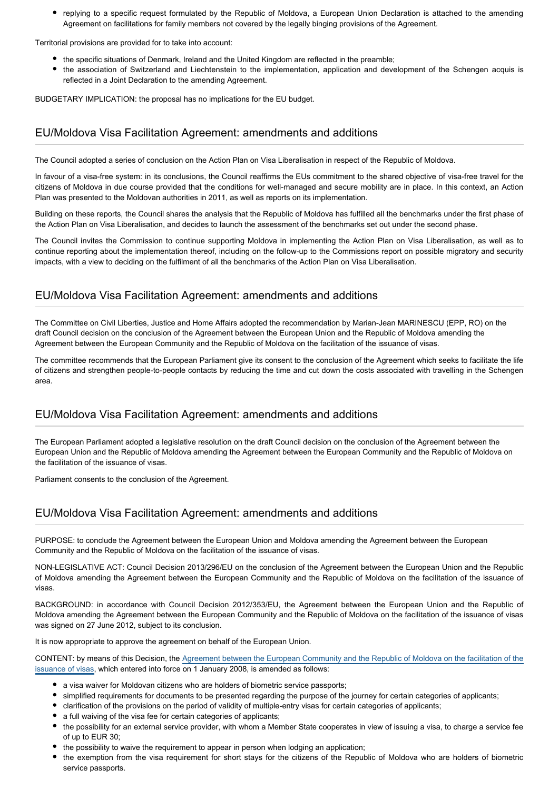replying to a specific request formulated by the Republic of Moldova, a European Union Declaration is attached to the amending Agreement on facilitations for family members not covered by the legally binging provisions of the Agreement.

Territorial provisions are provided for to take into account:

- the specific situations of Denmark, Ireland and the United Kingdom are reflected in the preamble;
- the association of Switzerland and Liechtenstein to the implementation, application and development of the Schengen acquis is reflected in a Joint Declaration to the amending Agreement.

BUDGETARY IMPLICATION: the proposal has no implications for the EU budget.

## EU/Moldova Visa Facilitation Agreement: amendments and additions

The Council adopted a series of conclusion on the Action Plan on Visa Liberalisation in respect of the Republic of Moldova.

In favour of a visa-free system: in its conclusions, the Council reaffirms the EUs commitment to the shared objective of visa-free travel for the citizens of Moldova in due course provided that the conditions for well-managed and secure mobility are in place. In this context, an Action Plan was presented to the Moldovan authorities in 2011, as well as reports on its implementation.

Building on these reports, the Council shares the analysis that the Republic of Moldova has fulfilled all the benchmarks under the first phase of the Action Plan on Visa Liberalisation, and decides to launch the assessment of the benchmarks set out under the second phase.

The Council invites the Commission to continue supporting Moldova in implementing the Action Plan on Visa Liberalisation, as well as to continue reporting about the implementation thereof, including on the follow-up to the Commissions report on possible migratory and security impacts, with a view to deciding on the fulfilment of all the benchmarks of the Action Plan on Visa Liberalisation.

## EU/Moldova Visa Facilitation Agreement: amendments and additions

The Committee on Civil Liberties, Justice and Home Affairs adopted the recommendation by Marian-Jean MARINESCU (EPP, RO) on the draft Council decision on the conclusion of the Agreement between the European Union and the Republic of Moldova amending the Agreement between the European Community and the Republic of Moldova on the facilitation of the issuance of visas.

The committee recommends that the European Parliament give its consent to the conclusion of the Agreement which seeks to facilitate the life of citizens and strengthen people-to-people contacts by reducing the time and cut down the costs associated with travelling in the Schengen area.

## EU/Moldova Visa Facilitation Agreement: amendments and additions

The European Parliament adopted a legislative resolution on the draft Council decision on the conclusion of the Agreement between the European Union and the Republic of Moldova amending the Agreement between the European Community and the Republic of Moldova on the facilitation of the issuance of visas.

Parliament consents to the conclusion of the Agreement.

## EU/Moldova Visa Facilitation Agreement: amendments and additions

PURPOSE: to conclude the Agreement between the European Union and Moldova amending the Agreement between the European Community and the Republic of Moldova on the facilitation of the issuance of visas.

NON-LEGISLATIVE ACT: Council Decision 2013/296/EU on the conclusion of the Agreement between the European Union and the Republic of Moldova amending the Agreement between the European Community and the Republic of Moldova on the facilitation of the issuance of visas.

BACKGROUND: in accordance with Council Decision 2012/353/EU, the Agreement between the European Union and the Republic of Moldova amending the Agreement between the European Community and the Republic of Moldova on the facilitation of the issuance of visas was signed on 27 June 2012, subject to its conclusion.

It is now appropriate to approve the agreement on behalf of the European Union.

CONTENT: by means of this Decision, the [Agreement between the European Community and the Republic of Moldova on the facilitation of the](http://www.europarl.europa.eu/oeil/popups/ficheprocedure.do?reference=2007/0175(CNS)) [issuance of visas](http://www.europarl.europa.eu/oeil/popups/ficheprocedure.do?reference=2007/0175(CNS)), which entered into force on 1 January 2008, is amended as follows:

- a visa waiver for Moldovan citizens who are holders of biometric service passports:
- simplified requirements for documents to be presented regarding the purpose of the journey for certain categories of applicants;
- clarification of the provisions on the period of validity of multiple-entry visas for certain categories of applicants;
- a full waiving of the visa fee for certain categories of applicants;
- the possibility for an external service provider, with whom a Member State cooperates in view of issuing a visa, to charge a service fee of up to EUR 30;
- the possibility to waive the requirement to appear in person when lodging an application;
- the exemption from the visa requirement for short stays for the citizens of the Republic of Moldova who are holders of biometric service passports.